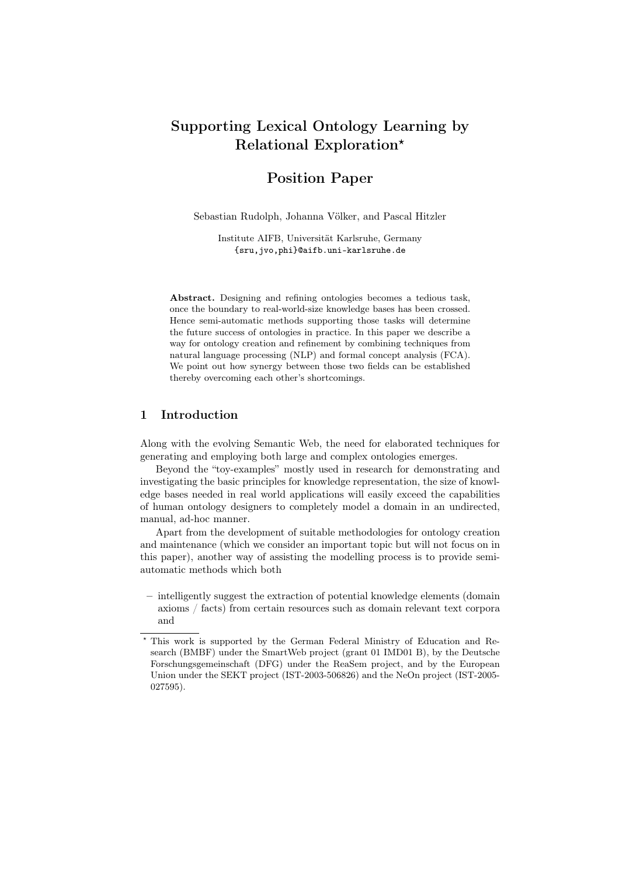# Supporting Lexical Ontology Learning by Relational Exploration?

## Position Paper

Sebastian Rudolph, Johanna Völker, and Pascal Hitzler

Institute AIFB, Universität Karlsruhe, Germany {sru,jvo,phi}@aifb.uni-karlsruhe.de

Abstract. Designing and refining ontologies becomes a tedious task, once the boundary to real-world-size knowledge bases has been crossed. Hence semi-automatic methods supporting those tasks will determine the future success of ontologies in practice. In this paper we describe a way for ontology creation and refinement by combining techniques from natural language processing (NLP) and formal concept analysis (FCA). We point out how synergy between those two fields can be established thereby overcoming each other's shortcomings.

### 1 Introduction

Along with the evolving Semantic Web, the need for elaborated techniques for generating and employing both large and complex ontologies emerges.

Beyond the "toy-examples" mostly used in research for demonstrating and investigating the basic principles for knowledge representation, the size of knowledge bases needed in real world applications will easily exceed the capabilities of human ontology designers to completely model a domain in an undirected, manual, ad-hoc manner.

Apart from the development of suitable methodologies for ontology creation and maintenance (which we consider an important topic but will not focus on in this paper), another way of assisting the modelling process is to provide semiautomatic methods which both

– intelligently suggest the extraction of potential knowledge elements (domain axioms / facts) from certain resources such as domain relevant text corpora and

<sup>?</sup> This work is supported by the German Federal Ministry of Education and Research (BMBF) under the SmartWeb project (grant 01 IMD01 B), by the Deutsche Forschungsgemeinschaft (DFG) under the ReaSem project, and by the European Union under the SEKT project (IST-2003-506826) and the NeOn project (IST-2005- 027595).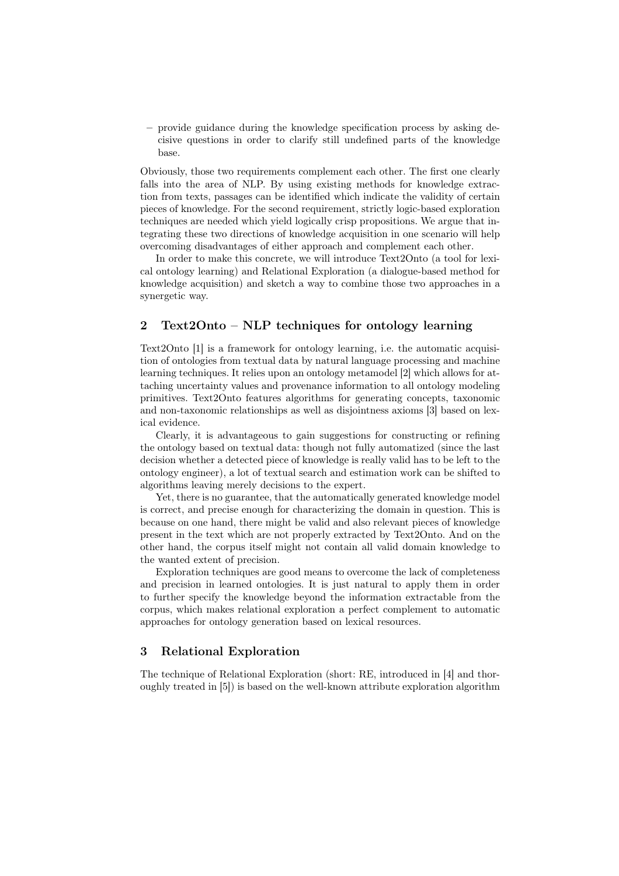– provide guidance during the knowledge specification process by asking decisive questions in order to clarify still undefined parts of the knowledge base.

Obviously, those two requirements complement each other. The first one clearly falls into the area of NLP. By using existing methods for knowledge extraction from texts, passages can be identified which indicate the validity of certain pieces of knowledge. For the second requirement, strictly logic-based exploration techniques are needed which yield logically crisp propositions. We argue that integrating these two directions of knowledge acquisition in one scenario will help overcoming disadvantages of either approach and complement each other.

In order to make this concrete, we will introduce Text2Onto (a tool for lexical ontology learning) and Relational Exploration (a dialogue-based method for knowledge acquisition) and sketch a way to combine those two approaches in a synergetic way.

### 2 Text2Onto – NLP techniques for ontology learning

Text2Onto [1] is a framework for ontology learning, i.e. the automatic acquisition of ontologies from textual data by natural language processing and machine learning techniques. It relies upon an ontology metamodel [2] which allows for attaching uncertainty values and provenance information to all ontology modeling primitives. Text2Onto features algorithms for generating concepts, taxonomic and non-taxonomic relationships as well as disjointness axioms [3] based on lexical evidence.

Clearly, it is advantageous to gain suggestions for constructing or refining the ontology based on textual data: though not fully automatized (since the last decision whether a detected piece of knowledge is really valid has to be left to the ontology engineer), a lot of textual search and estimation work can be shifted to algorithms leaving merely decisions to the expert.

Yet, there is no guarantee, that the automatically generated knowledge model is correct, and precise enough for characterizing the domain in question. This is because on one hand, there might be valid and also relevant pieces of knowledge present in the text which are not properly extracted by Text2Onto. And on the other hand, the corpus itself might not contain all valid domain knowledge to the wanted extent of precision.

Exploration techniques are good means to overcome the lack of completeness and precision in learned ontologies. It is just natural to apply them in order to further specify the knowledge beyond the information extractable from the corpus, which makes relational exploration a perfect complement to automatic approaches for ontology generation based on lexical resources.

#### 3 Relational Exploration

The technique of Relational Exploration (short: RE, introduced in [4] and thoroughly treated in [5]) is based on the well-known attribute exploration algorithm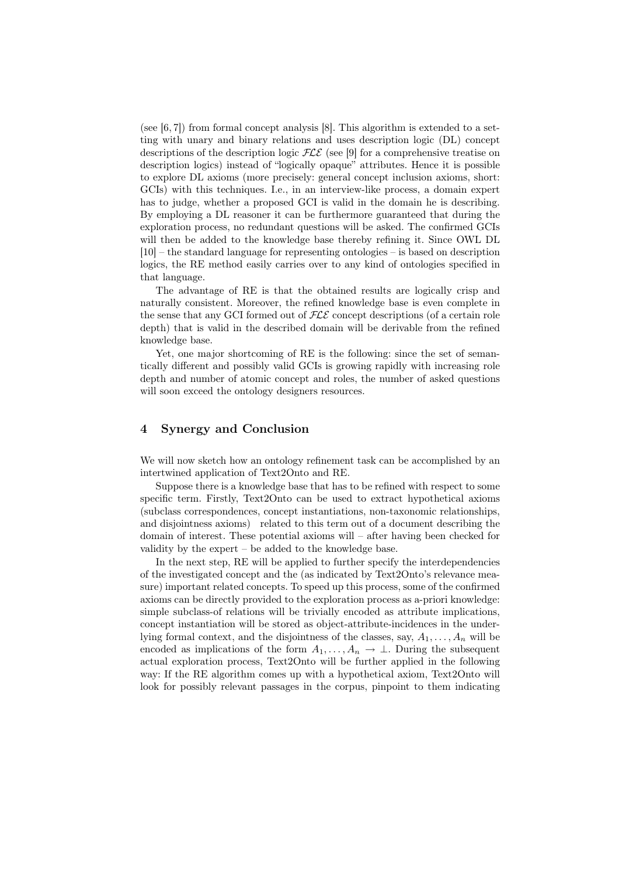(see  $[6, 7]$ ) from formal concept analysis  $[8]$ . This algorithm is extended to a setting with unary and binary relations and uses description logic (DL) concept descriptions of the description logic  $FLE$  (see [9] for a comprehensive treatise on description logics) instead of "logically opaque" attributes. Hence it is possible to explore DL axioms (more precisely: general concept inclusion axioms, short: GCIs) with this techniques. I.e., in an interview-like process, a domain expert has to judge, whether a proposed GCI is valid in the domain he is describing. By employing a DL reasoner it can be furthermore guaranteed that during the exploration process, no redundant questions will be asked. The confirmed GCIs will then be added to the knowledge base thereby refining it. Since OWL DL [10] – the standard language for representing ontologies – is based on description logics, the RE method easily carries over to any kind of ontologies specified in that language.

The advantage of RE is that the obtained results are logically crisp and naturally consistent. Moreover, the refined knowledge base is even complete in the sense that any GCI formed out of  $FLE$  concept descriptions (of a certain role depth) that is valid in the described domain will be derivable from the refined knowledge base.

Yet, one major shortcoming of RE is the following: since the set of semantically different and possibly valid GCIs is growing rapidly with increasing role depth and number of atomic concept and roles, the number of asked questions will soon exceed the ontology designers resources.

#### 4 Synergy and Conclusion

We will now sketch how an ontology refinement task can be accomplished by an intertwined application of Text2Onto and RE.

Suppose there is a knowledge base that has to be refined with respect to some specific term. Firstly, Text2Onto can be used to extract hypothetical axioms (subclass correspondences, concept instantiations, non-taxonomic relationships, and disjointness axioms) related to this term out of a document describing the domain of interest. These potential axioms will – after having been checked for validity by the expert – be added to the knowledge base.

In the next step, RE will be applied to further specify the interdependencies of the investigated concept and the (as indicated by Text2Onto's relevance measure) important related concepts. To speed up this process, some of the confirmed axioms can be directly provided to the exploration process as a-priori knowledge: simple subclass-of relations will be trivially encoded as attribute implications, concept instantiation will be stored as object-attribute-incidences in the underlying formal context, and the disjointness of the classes, say,  $A_1, \ldots, A_n$  will be encoded as implications of the form  $A_1, \ldots, A_n \to \bot$ . During the subsequent actual exploration process, Text2Onto will be further applied in the following way: If the RE algorithm comes up with a hypothetical axiom, Text2Onto will look for possibly relevant passages in the corpus, pinpoint to them indicating